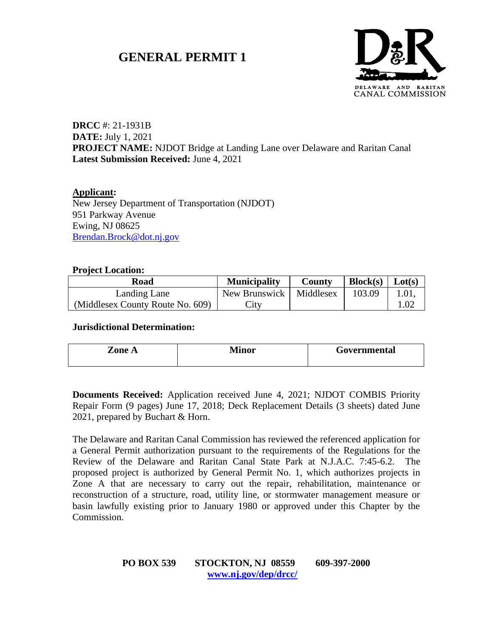# **GENERAL PERMIT 1**



**DRCC** #: 21-1931B **DATE:** July 1, 2021 **PROJECT NAME:** NJDOT Bridge at Landing Lane over Delaware and Raritan Canal **Latest Submission Received:** June 4, 2021

**Applicant:** New Jersey Department of Transportation (NJDOT) 951 Parkway Avenue Ewing, NJ 08625 [Brendan.Brock@dot.nj.gov](mailto:Brendan.Brock@dot.nj.gov)

#### **Project Location:**

| Road                             | <b>Municipality</b>       | County | Block(s) | Lot(s) |
|----------------------------------|---------------------------|--------|----------|--------|
| Landing Lane                     | New Brunswick   Middlesex |        | 103.09   | 1.01.  |
| (Middlesex County Route No. 609) | Lity                      |        |          |        |

#### **Jurisdictional Determination:**

| -<br>one A | --<br>$\mathbf{m}$<br>IVI | Governmental |
|------------|---------------------------|--------------|
|            |                           |              |

**Documents Received:** Application received June 4, 2021; NJDOT COMBIS Priority Repair Form (9 pages) June 17, 2018; Deck Replacement Details (3 sheets) dated June 2021, prepared by Buchart & Horn.

The Delaware and Raritan Canal Commission has reviewed the referenced application for a General Permit authorization pursuant to the requirements of the Regulations for the Review of the Delaware and Raritan Canal State Park at N.J.A.C. 7:45-6.2. The proposed project is authorized by General Permit No. 1, which authorizes projects in Zone A that are necessary to carry out the repair, rehabilitation, maintenance or reconstruction of a structure, road, utility line, or stormwater management measure or basin lawfully existing prior to January 1980 or approved under this Chapter by the Commission.

## **PO BOX 539 STOCKTON, NJ 08559 609-397-2000 [www.nj.gov/dep/drcc/](http://www.nj.gov/dep/drcc/)**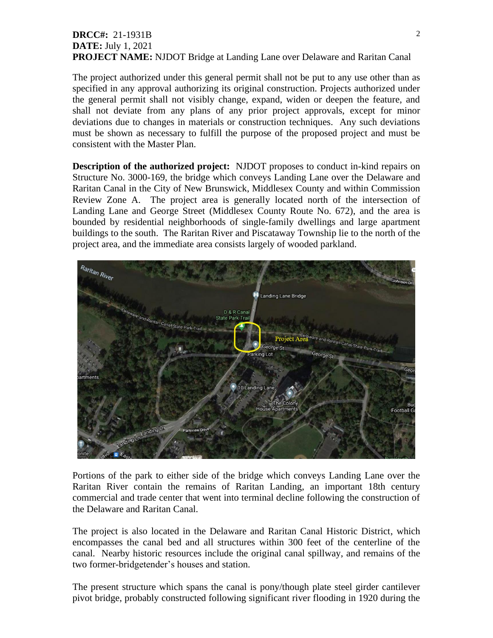## **DRCC#:** 21-1931B **DATE:** July 1, 2021 **PROJECT NAME:** NJDOT Bridge at Landing Lane over Delaware and Raritan Canal

The project authorized under this general permit shall not be put to any use other than as specified in any approval authorizing its original construction. Projects authorized under the general permit shall not visibly change, expand, widen or deepen the feature, and shall not deviate from any plans of any prior project approvals, except for minor deviations due to changes in materials or construction techniques. Any such deviations must be shown as necessary to fulfill the purpose of the proposed project and must be consistent with the Master Plan.

**Description of the authorized project:** NJDOT proposes to conduct in-kind repairs on Structure No. 3000-169, the bridge which conveys Landing Lane over the Delaware and Raritan Canal in the City of New Brunswick, Middlesex County and within Commission Review Zone A. The project area is generally located north of the intersection of Landing Lane and George Street (Middlesex County Route No. 672), and the area is bounded by residential neighborhoods of single-family dwellings and large apartment buildings to the south. The Raritan River and Piscataway Township lie to the north of the project area, and the immediate area consists largely of wooded parkland.



Portions of the park to either side of the bridge which conveys Landing Lane over the Raritan River contain the remains of Raritan Landing, an important 18th century commercial and trade center that went into terminal decline following the construction of the Delaware and Raritan Canal.

The project is also located in the Delaware and Raritan Canal Historic District, which encompasses the canal bed and all structures within 300 feet of the centerline of the canal. Nearby historic resources include the original canal spillway, and remains of the two former-bridgetender's houses and station.

The present structure which spans the canal is pony/though plate steel girder cantilever pivot bridge, probably constructed following significant river flooding in 1920 during the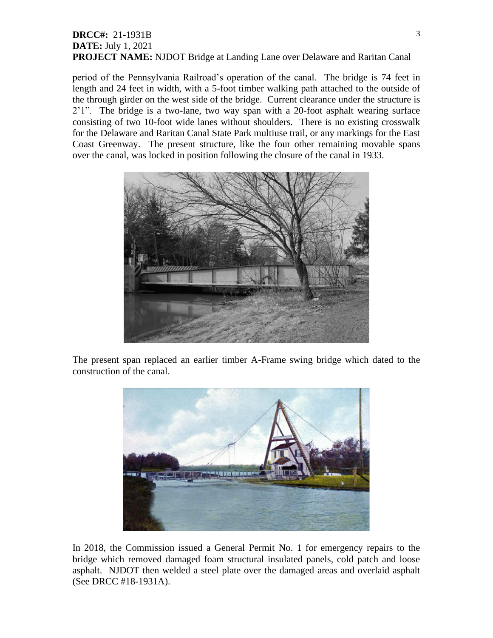### **DRCC#:** 21-1931B **DATE:** July 1, 2021 **PROJECT NAME:** NJDOT Bridge at Landing Lane over Delaware and Raritan Canal

period of the Pennsylvania Railroad's operation of the canal. The bridge is 74 feet in length and 24 feet in width, with a 5-foot timber walking path attached to the outside of the through girder on the west side of the bridge. Current clearance under the structure is 2'1". The bridge is a two-lane, two way span with a 20-foot asphalt wearing surface consisting of two 10-foot wide lanes without shoulders. There is no existing crosswalk for the Delaware and Raritan Canal State Park multiuse trail, or any markings for the East Coast Greenway. The present structure, like the four other remaining movable spans over the canal, was locked in position following the closure of the canal in 1933.



The present span replaced an earlier timber A-Frame swing bridge which dated to the construction of the canal.



In 2018, the Commission issued a General Permit No. 1 for emergency repairs to the bridge which removed damaged foam structural insulated panels, cold patch and loose asphalt. NJDOT then welded a steel plate over the damaged areas and overlaid asphalt (See DRCC #18-1931A).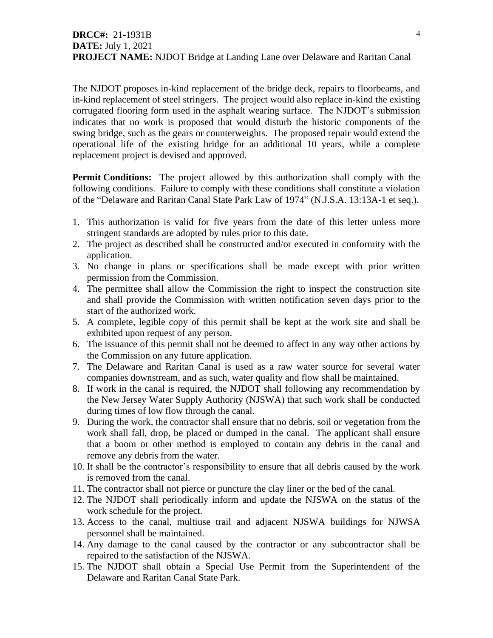The NJDOT proposes in-kind replacement of the bridge deck, repairs to floorbeams, and in-kind replacement of steel stringers. The project would also replace in-kind the existing corrugated flooring form used in the asphalt wearing surface. The NJDOT's submission indicates that no work is proposed that would disturb the historic components of the swing bridge, such as the gears or counterweights. The proposed repair would extend the operational life of the existing bridge for an additional 10 years, while a complete replacement project is devised and approved.

**Permit Conditions:** The project allowed by this authorization shall comply with the following conditions. Failure to comply with these conditions shall constitute a violation of the "Delaware and Raritan Canal State Park Law of 1974" (N.J.S.A. 13:13A-1 et seq.).

- 1. This authorization is valid for five years from the date of this letter unless more stringent standards are adopted by rules prior to this date.
- 2. The project as described shall be constructed and/or executed in conformity with the application.
- 3. No change in plans or specifications shall be made except with prior written permission from the Commission.
- 4. The permittee shall allow the Commission the right to inspect the construction site and shall provide the Commission with written notification seven days prior to the start of the authorized work.
- 5. A complete, legible copy of this permit shall be kept at the work site and shall be exhibited upon request of any person.
- 6. The issuance of this permit shall not be deemed to affect in any way other actions by the Commission on any future application.
- 7. The Delaware and Raritan Canal is used as a raw water source for several water companies downstream, and as such, water quality and flow shall be maintained.
- 8. If work in the canal is required, the NJDOT shall following any recommendation by the New Jersey Water Supply Authority (NJSWA) that such work shall be conducted during times of low flow through the canal.
- 9. During the work, the contractor shall ensure that no debris, soil or vegetation from the work shall fall, drop, be placed or dumped in the canal. The applicant shall ensure that a boom or other method is employed to contain any debris in the canal and remove any debris from the water.
- 10. It shall be the contractor's responsibility to ensure that all debris caused by the work is removed from the canal.
- 11. The contractor shall not pierce or puncture the clay liner or the bed of the canal.
- 12. The NJDOT shall periodically inform and update the NJSWA on the status of the work schedule for the project.
- 13. Access to the canal, multiuse trail and adjacent NJSWA buildings for NJWSA personnel shall be maintained.
- 14. Any damage to the canal caused by the contractor or any subcontractor shall be repaired to the satisfaction of the NJSWA.
- 15. The NJDOT shall obtain a Special Use Permit from the Superintendent of the Delaware and Raritan Canal State Park.